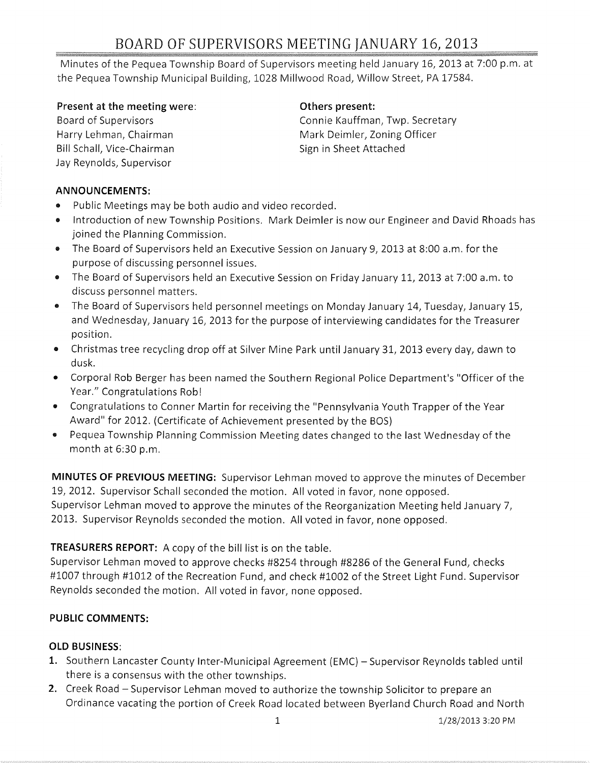# BOARD OF SUPERVISORS MEETING JANUARY 16, 2013

Minutes of the Pequea Township Board of Supervisors meeting held January 16, 2013 at 7:00 p.m. at the Pequea Township Municipal Building, 1028 Millwood Road, Willow Street, PA 17584.

#### **Present at the meeting were:**

Board of Supervisors Harry Lehman, Chairman Bill Schall, Vice-Chairman Jay Reynolds, Supervisor

#### **Others present:**

Connie Kauffman, Twp. Secretary Mark Deimler, Zoning Officer Sign in Sheet Attached

#### **ANNOUNCEMENTS:**

- Public Meetings may be both audio and video recorded.
- Introduction of new Township Positions. Mark Deimler is now our Engineer and David Rhoads has joined the Planning Commission.
- The Board of Supervisors held an Executive Session on January 9, 2013 at 8:00 a.m. for the purpose of discussing personnel issues.
- The Board of Supervisors held an Executive Session on Friday January 11, 2013 at 7:00 a.m. to discuss personnel matters.
- The Board of Supervisors held personnel meetings on Monday January 14, Tuesday, January 15, and Wednesday, January 16, 2013 for the purpose of interviewing candidates for the Treasurer position.
- Christmas tree recycling drop off at Silver Mine Park until January 31,2013 every day, dawn to dusk.
- Corporal Rob Berger has been named the Southern Regional Police Department's "Officer of the Year." Congratulations Rob!
- Congratulations to Conner Martin for receiving the "Pennsylvania Youth Trapper of the Year Award" for 2012. (Certificate of Achievement presented by the BOS)
- Pequea Township Planning Commission Meeting dates changed to the last Wednesday of the month at 6:30 p.m.

**MINUTES OF PREVIOUS MEETING:** Supervisor Lehman moved to approve the minutes of December 19, 2012. Supervisor Schall seconded the motion. All voted in favor, none opposed. Supervisor Lehman moved to approve the minutes of the Reorganization Meeting held January 7, 2013. Supervisor Reynolds seconded the motion. All voted in favor, none opposed.

# **TREASURERS REPORT:** A copy of the bill list is on the table.

Supervisor Lehman moved to approve checks #8254 through #8286 of the General Fund, checks #1007 through #1012 of the Recreation Fund, and check #1002 of the Street Light Fund. Supervisor Reynolds seconded the motion. All voted in favor, none opposed.

# **PUBLIC COMMENTS:**

# **OLD BUSINESS:**

- 1. Southern Lancaster County Inter-Municipal Agreement (EMC) Supervisor Reynolds tabled until there is a consensus with the other townships.
- **2.** Creek Road Supervisor Lehman moved to authorize the township Solicitor to prepare an Ordinance vacating the portion of Creek Road located between Byerland Church Road and North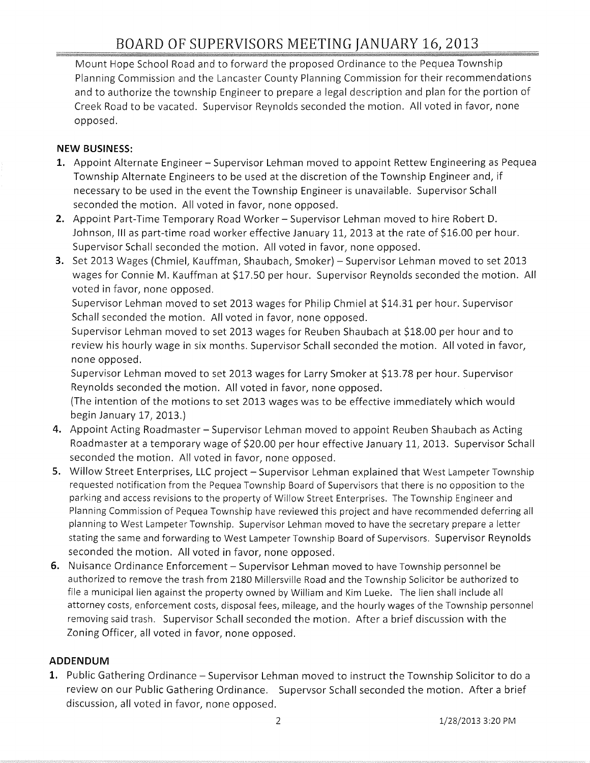Mount Hope School Road and to forward the proposed Ordinance to the Pequea Township Planning Commission and the Lancaster County Planning Commission for their recommendations and to authorize the township Engineer to prepare a legal description and plan for the portion of Creek Road to be vacated. Supervisor Reynolds seconded the motion. All voted in favor, none opposed.

#### **NEW BUSINESS:**

- 1. Appoint Alternate Engineer Supervisor Lehman moved to appoint Rettew Engineering as Pequea Township Alternate Engineers to be used at the discretion of the Township Engineer and, if necessary to be used in the event the Township Engineer is unavailable. Supervisor Schall seconded the motion. All voted in favor, none opposed.
- 2. Appoint Part-Time Temporary Road Worker Supervisor Lehman moved to hire Robert D. Johnson, III as part-time road worker effective January 11, 2013 at the rate of \$16.00 per hour. Supervisor Schall seconded the motion. All voted in favor, none opposed.
- **3.** Set 2013 Wages (Chmiel, Kauffman, Shaubach, Smoker) Supervisor Lehman moved to set 2013 wages for Connie M. Kauffman at \$17.50 per hour. Supervisor Reynolds seconded the motion. All voted in favor, none opposed.

Supervisor Lehman moved to set 2013 wages for Philip Chmiel at \$14.31 per hour. Supervisor Schall seconded the motion. All voted in favor, none opposed.

Supervisor Lehman moved to set 2013 wages for Reuben Shaubach at \$18.00 per hour and to review his hourly wage in six months. Supervisor Schall seconded the motion. All voted in favor, none opposed.

Supervisor Lehman moved to set 2013 wages for Larry Smoker at \$13.78 per hour. Supervisor Reynolds seconded the motion. All voted in favor, none opposed.

(The intention of the motions to set 2013 wages was to be effective immediately which would begin January 17, 2013.)

- **4.** Appoint Acting Roadmaster Supervisor Lehman moved to appoint Reuben Shaubach as Acting Roadmaster at a temporary wage of \$20.00 per hour effective January 11, 2013. Supervisor Schall seconded the motion. All voted in favor, none opposed.
- 5. Willow Street Enterprises, LLC project Supervisor Lehman explained that West Lampeter Township requested notification from the Pequea Township Board of Supervisors that there is no opposition to the parking and access revisions to the property of Willow Street Enterprises. The Township Engineer and Planning Commission of Pequea Township have reviewed this project and have recommended deferring all planning to West Lampeter Township. Supervisor Lehman moved to have the secretary prepare a letter stating the same and forwarding to West Lampeter Township Board of Supervisors. Supervisor Reynolds seconded the motion. All voted in favor, none opposed.
- **6.** Nuisance Ordinance Enforcement Supervisor Lehman moved to have Township personnel be authorized to remove the trash from 2180 Millersville Road and the Township Solicitor be authorized to file a municipal lien against the property owned by William and Kim Lueke. The lien shall include all attorney costs, enforcement costs, disposal fees, mileage, and the hourly wages of the Township personnel removing said trash. Supervisor Schall seconded the motion. After a brief discussion with the Zoning Officer, all voted in favor, none opposed.

#### **ADDENDUM**

1. Public Gathering Ordinance – Supervisor Lehman moved to instruct the Township Solicitor to do a review on our Public Gathering Ordinance. Supervsor Schall seconded the motion. After a brief discussion, all voted in favor, none opposed.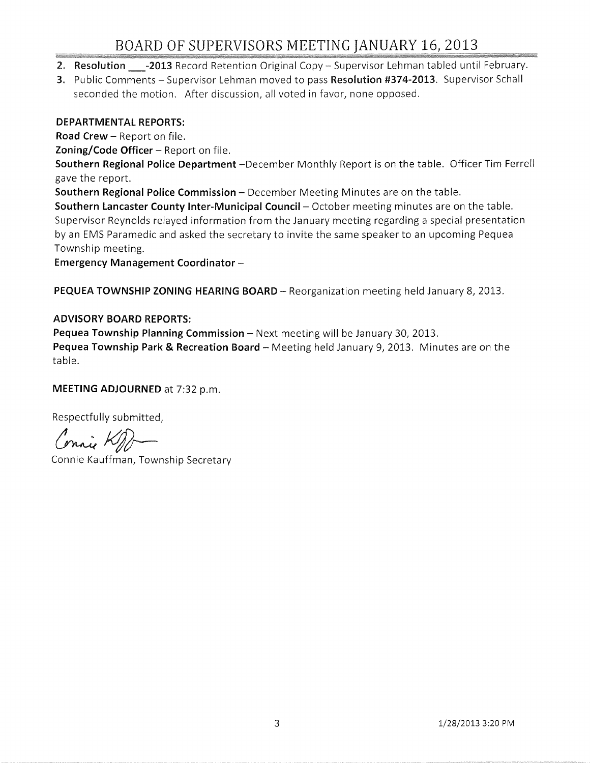# BOARD OF SUPERVISORS MEETING JANUARY 16, 2013

- 2. Resolution \_\_\_-2013 Record Retention Original Copy Supervisor Lehman tabled until February.
- 3. Public Comments Supervisor Lehman moved to pass Resolution #374-2013. Supervisor Schall seconded the motion. After discussion, all voted in favor, none opposed.

#### DEPARTMENTAL REPORTS:

Road Crew - Report on file.

Zoning/Code Officer  $-$  Report on file.

Southern Regional Police Department -December Monthly Report is on the table. Officer Tim Ferrell gave the report.

Southern Regional Police Commission - December Meeting Minutes are on the table.

Southern Lancaster County Inter-Municipal Council - October meeting minutes are on the table. Supervisor Reynolds relayed information from the January meeting regarding a special presentation by an EMS Paramedic and asked the secretary to invite the same speaker to an upcoming Pequea Township meeting.

Emergency Management Coordinator -

PEQUEA TOWNSHIP ZONING HEARING BOARD - Reorganization meeting held January 8, 2013.

#### ADVISORY BOARD REPORTS:

Pequea Township Planning Commission - Next meeting will be January 30, 2013. Pequea Township Park & Recreation Board - Meeting held January 9, 2013. Minutes are on the table.

#### MEETING ADJOURNED at 7:32 p.m.

Respectfully submitted,

(mai KM)